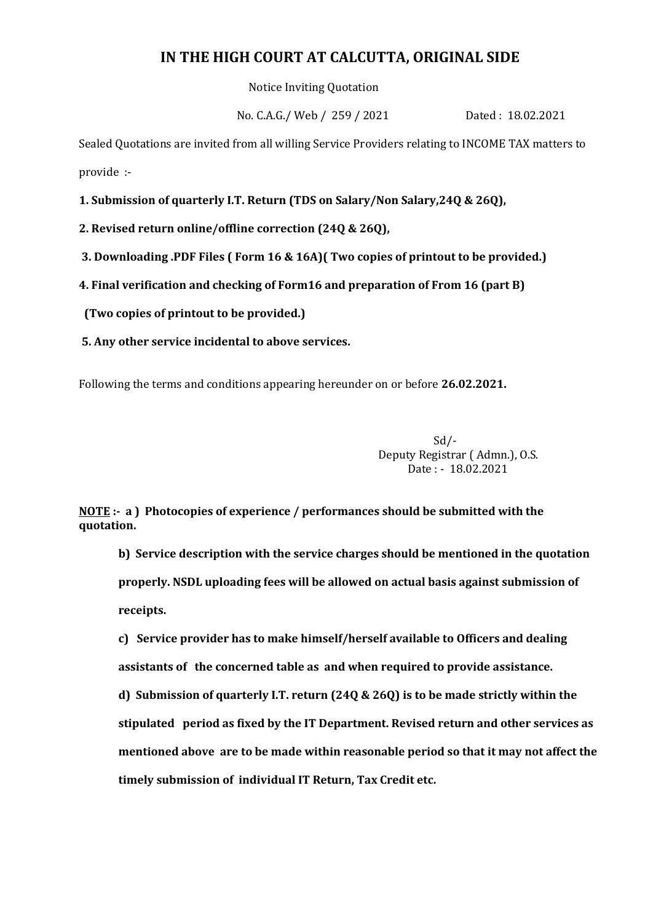## **IN THE HIGH COURT AT CALCUTTA, ORIGINAL SIDE**

Notice Inviting Quotation

No. C.A.G./ Web / 259 / 2021 Dated : 18.02.2021

Sealed Quotations are invited from all willing Service Providers relating to INCOME TAX matters to provide :-

**1. Submission of quarterly I.T. Return (TDS on Salary/Non Salary,24Q & 26Q),**

**2. Revised return online/offline correction (24Q & 26Q),**

**3. Downloading .PDF Files ( Form 16 & 16A)( Two copies of printout to be provided.)**

**4. Final verification and checking of Form16 and preparation of From 16 (part B)** 

 **(Two copies of printout to be provided.)**

**5. Any other service incidental to above services.**

Following the terms and conditions appearing hereunder on or before **26.02.2021.**

Sd/- Deputy Registrar ( Admn.), O.S. Date : - 18.02.2021

**NOTE :- a ) Photocopies of experience / performances should be submitted with the quotation.**

**b) Service description with the service charges should be mentioned in the quotation properly. NSDL uploading fees will be allowed on actual basis against submission of receipts.**

**c) Service provider has to make himself/herself available to Officers and dealing assistants of the concerned table as and when required to provide assistance. d) Submission of quarterly I.T. return (24Q & 26Q) is to be made strictly within the stipulated period as fixed by the IT Department. Revised return and other services as mentioned above are to be made within reasonable period so that it may not affect the timely submission of individual IT Return, Tax Credit etc.**